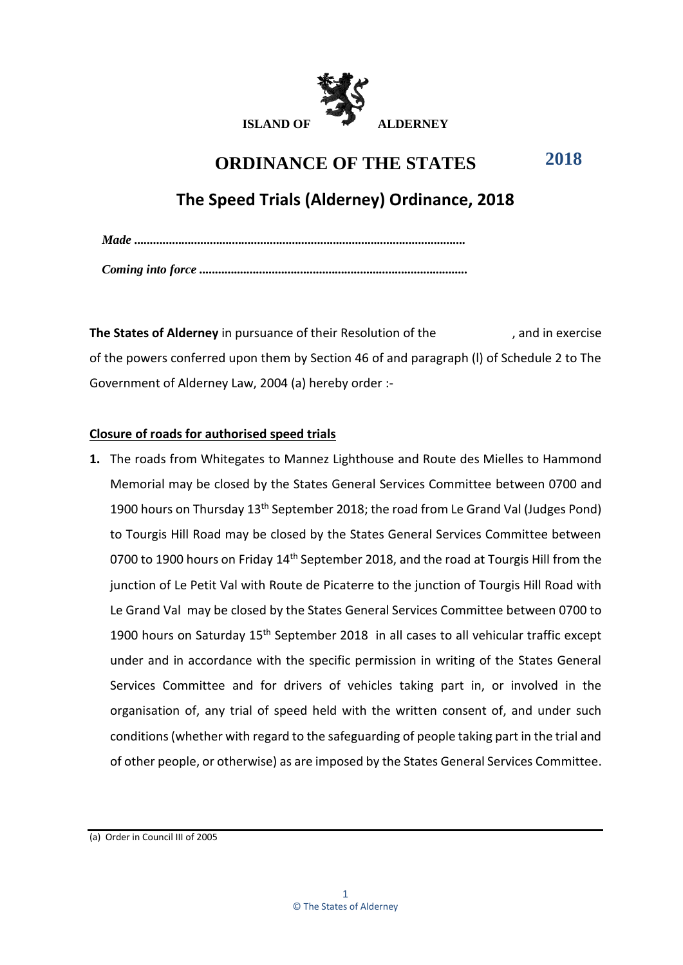

#### **ORDINANCE OF THE STATES 2018**

# **The Speed Trials (Alderney) Ordinance, 2018**

| $\textit{Made} \textit{} \textit{} \textit{} \textit{} \textit{} \textit{} \textit{} \textit{} \textit{} \textit{} \textit{} \textit{} \textit{} \textit{} \textit{} \textit{} \textit{} \textit{} \textit{} \textit{} \textit{} \textit{} \textit{} \textit{} \textit{} \textit{} \textit{} \textit{} \textit{} \textit{} \textit{} \textit{} \textit{} \textit{} \textit{} \textit$ |
|---------------------------------------------------------------------------------------------------------------------------------------------------------------------------------------------------------------------------------------------------------------------------------------------------------------------------------------------------------------------------------------|
|                                                                                                                                                                                                                                                                                                                                                                                       |
|                                                                                                                                                                                                                                                                                                                                                                                       |

**The States of Alderney** in pursuance of their Resolution of the , and in exercise of the powers conferred upon them by Section 46 of and paragraph (l) of Schedule 2 to The Government of Alderney Law, 2004 (a) hereby order :-

# **Closure of roads for authorised speed trials**

**1.** The roads from Whitegates to Mannez Lighthouse and Route des Mielles to Hammond Memorial may be closed by the States General Services Committee between 0700 and 1900 hours on Thursday 13<sup>th</sup> September 2018; the road from Le Grand Val (Judges Pond) to Tourgis Hill Road may be closed by the States General Services Committee between 0700 to 1900 hours on Friday 14<sup>th</sup> September 2018, and the road at Tourgis Hill from the junction of Le Petit Val with Route de Picaterre to the junction of Tourgis Hill Road with Le Grand Val may be closed by the States General Services Committee between 0700 to 1900 hours on Saturday 15<sup>th</sup> September 2018 in all cases to all vehicular traffic except under and in accordance with the specific permission in writing of the States General Services Committee and for drivers of vehicles taking part in, or involved in the organisation of, any trial of speed held with the written consent of, and under such conditions (whether with regard to the safeguarding of people taking part in the trial and of other people, or otherwise) as are imposed by the States General Services Committee.

(a) Order in Council III of 2005